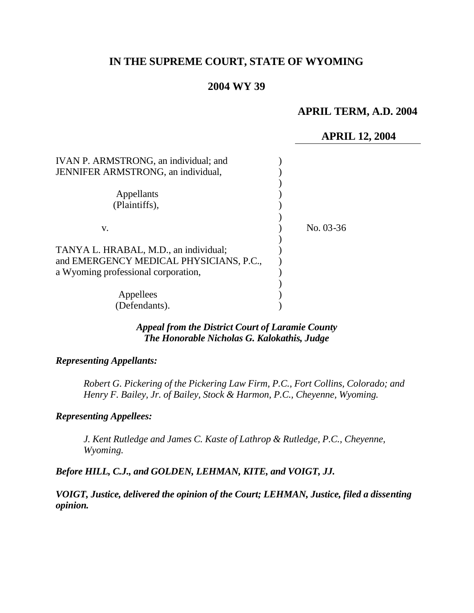# **IN THE SUPREME COURT, STATE OF WYOMING**

# **2004 WY 39**

# **APRIL TERM, A.D. 2004**

### **APRIL 12, 2004**

| IVAN P. ARMSTRONG, an individual; and<br><b>JENNIFER ARMSTRONG</b> , an individual,                                     |           |
|-------------------------------------------------------------------------------------------------------------------------|-----------|
| Appellants<br>(Plaintiffs),                                                                                             |           |
| v.                                                                                                                      | No. 03-36 |
| TANYA L. HRABAL, M.D., an individual;<br>and EMERGENCY MEDICAL PHYSICIANS, P.C.,<br>a Wyoming professional corporation, |           |
| Appellees<br>(Defendants).                                                                                              |           |

#### *Appeal from the District Court of Laramie County The Honorable Nicholas G. Kalokathis, Judge*

#### *Representing Appellants:*

*Robert G. Pickering of the Pickering Law Firm, P.C., Fort Collins, Colorado; and Henry F. Bailey, Jr. of Bailey, Stock & Harmon, P.C., Cheyenne, Wyoming.*

#### *Representing Appellees:*

*J. Kent Rutledge and James C. Kaste of Lathrop & Rutledge, P.C., Cheyenne, Wyoming.*

### *Before HILL, C.J., and GOLDEN, LEHMAN, KITE, and VOIGT, JJ.*

*VOIGT, Justice, delivered the opinion of the Court; LEHMAN, Justice, filed a dissenting opinion.*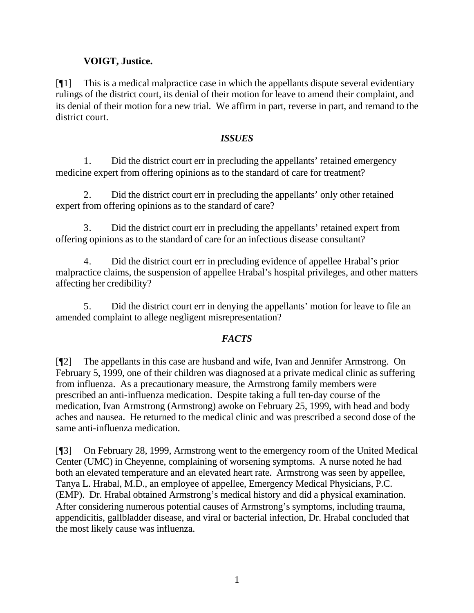# **VOIGT, Justice.**

[¶1] This is a medical malpractice case in which the appellants dispute several evidentiary rulings of the district court, its denial of their motion for leave to amend their complaint, and its denial of their motion for a new trial. We affirm in part, reverse in part, and remand to the district court.

# *ISSUES*

1. Did the district court err in precluding the appellants' retained emergency medicine expert from offering opinions as to the standard of care for treatment?

2. Did the district court err in precluding the appellants' only other retained expert from offering opinions as to the standard of care?

3. Did the district court err in precluding the appellants' retained expert from offering opinions as to the standard of care for an infectious disease consultant?

4. Did the district court err in precluding evidence of appellee Hrabal's prior malpractice claims, the suspension of appellee Hrabal's hospital privileges, and other matters affecting her credibility?

5. Did the district court err in denying the appellants' motion for leave to file an amended complaint to allege negligent misrepresentation?

# *FACTS*

[¶2] The appellants in this case are husband and wife, Ivan and Jennifer Armstrong. On February 5, 1999, one of their children was diagnosed at a private medical clinic as suffering from influenza. As a precautionary measure, the Armstrong family members were prescribed an anti-influenza medication. Despite taking a full ten-day course of the medication, Ivan Armstrong (Armstrong) awoke on February 25, 1999, with head and body aches and nausea. He returned to the medical clinic and was prescribed a second dose of the same anti-influenza medication.

[¶3] On February 28, 1999, Armstrong went to the emergency room of the United Medical Center (UMC) in Cheyenne, complaining of worsening symptoms. A nurse noted he had both an elevated temperature and an elevated heart rate. Armstrong was seen by appellee, Tanya L. Hrabal, M.D., an employee of appellee, Emergency Medical Physicians, P.C. (EMP). Dr. Hrabal obtained Armstrong's medical history and did a physical examination. After considering numerous potential causes of Armstrong's symptoms, including trauma, appendicitis, gallbladder disease, and viral or bacterial infection, Dr. Hrabal concluded that the most likely cause was influenza.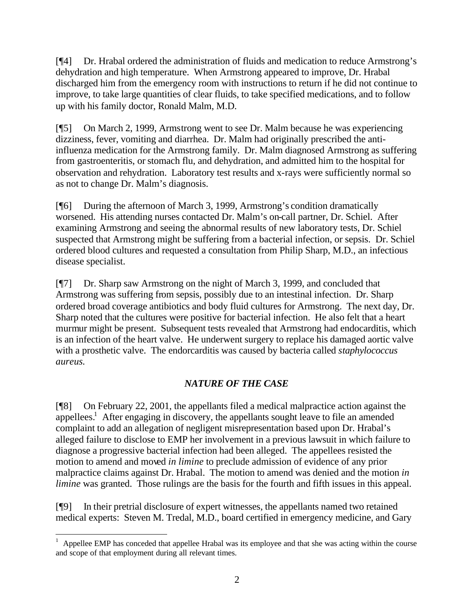[¶4] Dr. Hrabal ordered the administration of fluids and medication to reduce Armstrong's dehydration and high temperature. When Armstrong appeared to improve, Dr. Hrabal discharged him from the emergency room with instructions to return if he did not continue to improve, to take large quantities of clear fluids, to take specified medications, and to follow up with his family doctor, Ronald Malm, M.D.

[¶5] On March 2, 1999, Armstrong went to see Dr. Malm because he was experiencing dizziness, fever, vomiting and diarrhea. Dr. Malm had originally prescribed the antiinfluenza medication for the Armstrong family. Dr. Malm diagnosed Armstrong as suffering from gastroenteritis, or stomach flu, and dehydration, and admitted him to the hospital for observation and rehydration. Laboratory test results and x-rays were sufficiently normal so as not to change Dr. Malm's diagnosis.

[¶6] During the afternoon of March 3, 1999, Armstrong's condition dramatically worsened. His attending nurses contacted Dr. Malm's on-call partner, Dr. Schiel. After examining Armstrong and seeing the abnormal results of new laboratory tests, Dr. Schiel suspected that Armstrong might be suffering from a bacterial infection, or sepsis. Dr. Schiel ordered blood cultures and requested a consultation from Philip Sharp, M.D., an infectious disease specialist.

[¶7] Dr. Sharp saw Armstrong on the night of March 3, 1999, and concluded that Armstrong was suffering from sepsis, possibly due to an intestinal infection. Dr. Sharp ordered broad coverage antibiotics and body fluid cultures for Armstrong. The next day, Dr. Sharp noted that the cultures were positive for bacterial infection. He also felt that a heart murmur might be present. Subsequent tests revealed that Armstrong had endocarditis, which is an infection of the heart valve. He underwent surgery to replace his damaged aortic valve with a prosthetic valve. The endorcarditis was caused by bacteria called *staphylococcus aureus.*

# *NATURE OF THE CASE*

[¶8] On February 22, 2001, the appellants filed a medical malpractice action against the appellees.<sup>1</sup> After engaging in discovery, the appellants sought leave to file an amended complaint to add an allegation of negligent misrepresentation based upon Dr. Hrabal's alleged failure to disclose to EMP her involvement in a previous lawsuit in which failure to diagnose a progressive bacterial infection had been alleged. The appellees resisted the motion to amend and moved *in limine* to preclude admission of evidence of any prior malpractice claims against Dr. Hrabal. The motion to amend was denied and the motion *in limine* was granted. Those rulings are the basis for the fourth and fifth issues in this appeal.

[¶9] In their pretrial disclosure of expert witnesses, the appellants named two retained medical experts: Steven M. Tredal, M.D., board certified in emergency medicine, and Gary

l

<sup>1</sup> Appellee EMP has conceded that appellee Hrabal was its employee and that she was acting within the course and scope of that employment during all relevant times.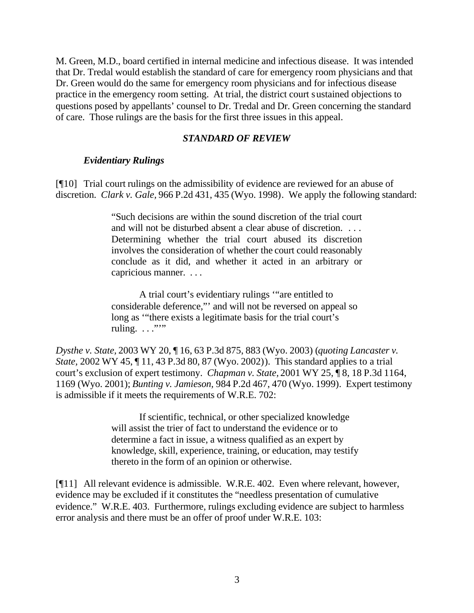M. Green, M.D., board certified in internal medicine and infectious disease. It was intended that Dr. Tredal would establish the standard of care for emergency room physicians and that Dr. Green would do the same for emergency room physicians and for infectious disease practice in the emergency room setting. At trial, the district court sustained objections to questions posed by appellants' counsel to Dr. Tredal and Dr. Green concerning the standard of care. Those rulings are the basis for the first three issues in this appeal.

#### *STANDARD OF REVIEW*

#### *Evidentiary Rulings*

[¶10] Trial court rulings on the admissibility of evidence are reviewed for an abuse of discretion. *Clark v. Gale,* 966 P.2d 431, 435 (Wyo. 1998). We apply the following standard:

> "Such decisions are within the sound discretion of the trial court and will not be disturbed absent a clear abuse of discretion. . . . Determining whether the trial court abused its discretion involves the consideration of whether the court could reasonably conclude as it did, and whether it acted in an arbitrary or capricious manner. . . .

A trial court's evidentiary rulings '"are entitled to considerable deference,"' and will not be reversed on appeal so long as '"there exists a legitimate basis for the trial court's ruling.  $\ldots$ "

*Dysthe v. State,* 2003 WY 20, ¶ 16, 63 P.3d 875, 883 (Wyo. 2003) (*quoting Lancaster v. State, 2002 WY 45,* 11, 43 P.3d 80, 87 (Wyo. 2002)). This standard applies to a trial court's exclusion of expert testimony. *Chapman v. State,* 2001 WY 25, ¶ 8, 18 P.3d 1164, 1169 (Wyo. 2001); *Bunting v. Jamieson,* 984 P.2d 467, 470 (Wyo. 1999). Expert testimony is admissible if it meets the requirements of W.R.E. 702:

> If scientific, technical, or other specialized knowledge will assist the trier of fact to understand the evidence or to determine a fact in issue, a witness qualified as an expert by knowledge, skill, experience, training, or education, may testify thereto in the form of an opinion or otherwise.

[¶11] All relevant evidence is admissible. W.R.E. 402. Even where relevant, however, evidence may be excluded if it constitutes the "needless presentation of cumulative evidence." W.R.E. 403. Furthermore, rulings excluding evidence are subject to harmless error analysis and there must be an offer of proof under W.R.E. 103: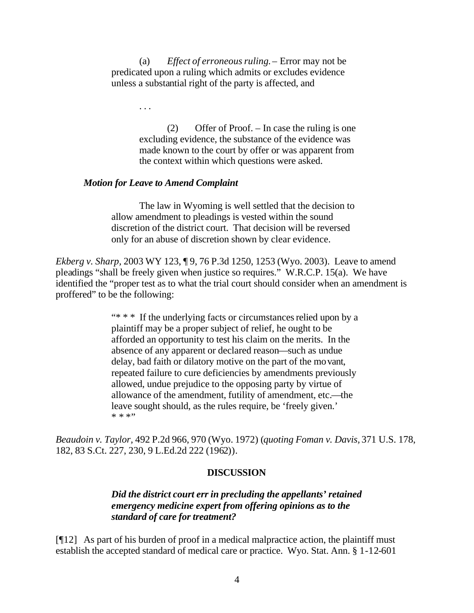(a) *Effect of erroneous ruling.*– Error may not be predicated upon a ruling which admits or excludes evidence unless a substantial right of the party is affected, and

. . .

(2) Offer of Proof. – In case the ruling is one excluding evidence, the substance of the evidence was made known to the court by offer or was apparent from the context within which questions were asked.

#### *Motion for Leave to Amend Complaint*

The law in Wyoming is well settled that the decision to allow amendment to pleadings is vested within the sound discretion of the district court. That decision will be reversed only for an abuse of discretion shown by clear evidence.

*Ekberg v. Sharp,* 2003 WY 123, ¶ 9, 76 P.3d 1250, 1253 (Wyo. 2003). Leave to amend pleadings "shall be freely given when justice so requires." W.R.C.P. 15(a). We have identified the "proper test as to what the trial court should consider when an amendment is proffered" to be the following:

> "\* \* \* If the underlying facts or circumstances relied upon by a plaintiff may be a proper subject of relief, he ought to be afforded an opportunity to test his claim on the merits. In the absence of any apparent or declared reason—such as undue delay, bad faith or dilatory motive on the part of the movant, repeated failure to cure deficiencies by amendments previously allowed, undue prejudice to the opposing party by virtue of allowance of the amendment, futility of amendment, etc.—the leave sought should, as the rules require, be 'freely given.' \* \* \*"

*Beaudoin v. Taylor,* 492 P.2d 966, 970 (Wyo. 1972) (*quoting Foman v. Davis,* 371 U.S. 178, 182, 83 S.Ct. 227, 230, 9 L.Ed.2d 222 (1962)).

#### **DISCUSSION**

### *Did the district court err in precluding the appellants' retained emergency medicine expert from offering opinions as to the standard of care for treatment?*

[¶12] As part of his burden of proof in a medical malpractice action, the plaintiff must establish the accepted standard of medical care or practice. Wyo. Stat. Ann. § 1-12-601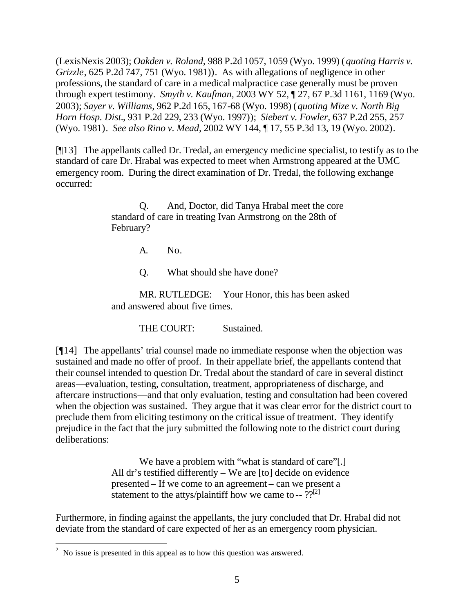(LexisNexis 2003); *Oakden v. Roland,* 988 P.2d 1057, 1059 (Wyo. 1999) (*quoting Harris v. Grizzle*, 625 P.2d 747, 751 (Wyo. 1981)). As with allegations of negligence in other professions, the standard of care in a medical malpractice case generally must be proven through expert testimony. *Smyth v. Kaufman,* 2003 WY 52, ¶ 27, 67 P.3d 1161, 1169 (Wyo. 2003); *Sayer v. Williams,* 962 P.2d 165, 167-68 (Wyo. 1998) (*quoting Mize v. North Big Horn Hosp. Dist.*, 931 P.2d 229, 233 (Wyo. 1997)); *Siebert v. Fowler,* 637 P.2d 255, 257 (Wyo. 1981). *See also Rino v. Mead,* 2002 WY 144, ¶ 17, 55 P.3d 13, 19 (Wyo. 2002).

[¶13] The appellants called Dr. Tredal, an emergency medicine specialist, to testify as to the standard of care Dr. Hrabal was expected to meet when Armstrong appeared at the UMC emergency room. During the direct examination of Dr. Tredal, the following exchange occurred:

> Q. And, Doctor, did Tanya Hrabal meet the core standard of care in treating Ivan Armstrong on the 28th of February?

> > A. No.

Q. What should she have done?

MR. RUTLEDGE: Your Honor, this has been asked and answered about five times.

THE COURT: Sustained.

[¶14] The appellants' trial counsel made no immediate response when the objection was sustained and made no offer of proof. In their appellate brief, the appellants contend that their counsel intended to question Dr. Tredal about the standard of care in several distinct areas—evaluation, testing, consultation, treatment, appropriateness of discharge, and aftercare instructions—and that only evaluation, testing and consultation had been covered when the objection was sustained. They argue that it was clear error for the district court to preclude them from eliciting testimony on the critical issue of treatment. They identify prejudice in the fact that the jury submitted the following note to the district court during deliberations:

> We have a problem with "what is standard of care"[.] All dr's testified differently – We are [to] decide on evidence presented – If we come to an agreement – can we present a statement to the attys/plaintiff how we came to --  $?$ ?<sup>[2]</sup>

Furthermore, in finding against the appellants, the jury concluded that Dr. Hrabal did not deviate from the standard of care expected of her as an emergency room physician.

<sup>&</sup>lt;sup>2</sup> No issue is presented in this appeal as to how this question was answered.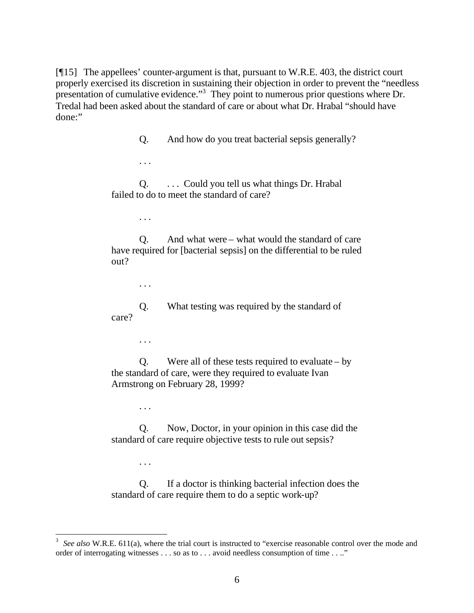[¶15] The appellees' counter-argument is that, pursuant to W.R.E. 403, the district court properly exercised its discretion in sustaining their objection in order to prevent the "needless presentation of cumulative evidence."<sup>3</sup> They point to numerous prior questions where Dr. Tredal had been asked about the standard of care or about what Dr. Hrabal "should have done:"

Q. And how do you treat bacterial sepsis generally?

Q. . . . Could you tell us what things Dr. Hrabal failed to do to meet the standard of care?

. . .

. . .

Q. And what were – what would the standard of care have required for [bacterial sepsis] on the differential to be ruled out?

. . .

Q. What testing was required by the standard of care?

. . .

Q. Were all of these tests required to evaluate – by the standard of care, were they required to evaluate Ivan Armstrong on February 28, 1999?

. . .

. . .

l

Q. Now, Doctor, in your opinion in this case did the standard of care require objective tests to rule out sepsis?

Q. If a doctor is thinking bacterial infection does the standard of care require them to do a septic work-up?

<sup>3</sup> *See also* W.R.E. 611(a), where the trial court is instructed to "exercise reasonable control over the mode and order of interrogating witnesses . . . so as to . . . avoid needless consumption of time . . .."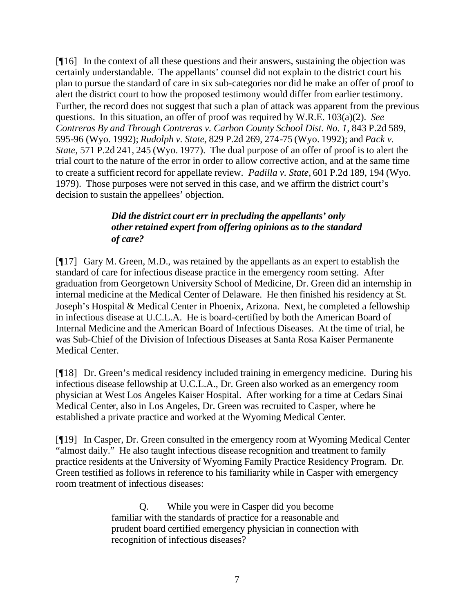[¶16] In the context of all these questions and their answers, sustaining the objection was certainly understandable. The appellants' counsel did not explain to the district court his plan to pursue the standard of care in six sub-categories nor did he make an offer of proof to alert the district court to how the proposed testimony would differ from earlier testimony. Further, the record does not suggest that such a plan of attack was apparent from the previous questions. In this situation, an offer of proof was required by W.R.E. 103(a)(2). *See Contreras By and Through Contreras v. Carbon County School Dist. No. 1, 843 P.2d 589,* 595-96 (Wyo. 1992); *Rudolph v. State,* 829 P.2d 269, 274-75 (Wyo. 1992); and *Pack v. State,* 571 P.2d 241, 245 (Wyo. 1977). The dual purpose of an offer of proof is to alert the trial court to the nature of the error in order to allow corrective action, and at the same time to create a sufficient record for appellate review. *Padilla v. State,* 601 P.2d 189, 194 (Wyo. 1979). Those purposes were not served in this case, and we affirm the district court's decision to sustain the appellees' objection.

# *Did the district court err in precluding the appellants' only other retained expert from offering opinions as to the standard of care?*

[¶17] Gary M. Green, M.D., was retained by the appellants as an expert to establish the standard of care for infectious disease practice in the emergency room setting. After graduation from Georgetown University School of Medicine, Dr. Green did an internship in internal medicine at the Medical Center of Delaware. He then finished his residency at St. Joseph's Hospital & Medical Center in Phoenix, Arizona. Next, he completed a fellowship in infectious disease at U.C.L.A. He is board-certified by both the American Board of Internal Medicine and the American Board of Infectious Diseases. At the time of trial, he was Sub-Chief of the Division of Infectious Diseases at Santa Rosa Kaiser Permanente Medical Center.

[¶18] Dr. Green's medical residency included training in emergency medicine. During his infectious disease fellowship at U.C.L.A., Dr. Green also worked as an emergency room physician at West Los Angeles Kaiser Hospital. After working for a time at Cedars Sinai Medical Center, also in Los Angeles, Dr. Green was recruited to Casper, where he established a private practice and worked at the Wyoming Medical Center.

[¶19] In Casper, Dr. Green consulted in the emergency room at Wyoming Medical Center "almost daily." He also taught infectious disease recognition and treatment to family practice residents at the University of Wyoming Family Practice Residency Program. Dr. Green testified as follows in reference to his familiarity while in Casper with emergency room treatment of infectious diseases:

> Q. While you were in Casper did you become familiar with the standards of practice for a reasonable and prudent board certified emergency physician in connection with recognition of infectious diseases?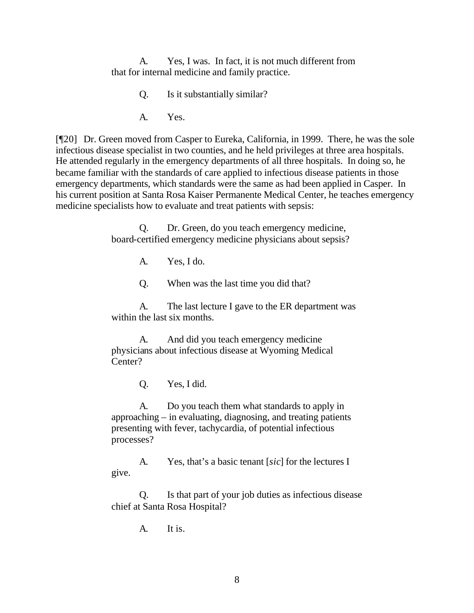A. Yes, I was. In fact, it is not much different from that for internal medicine and family practice.

- Q. Is it substantially similar?
- A. Yes.

[¶20] Dr. Green moved from Casper to Eureka, California, in 1999. There, he was the sole infectious disease specialist in two counties, and he held privileges at three area hospitals. He attended regularly in the emergency departments of all three hospitals. In doing so, he became familiar with the standards of care applied to infectious disease patients in those emergency departments, which standards were the same as had been applied in Casper. In his current position at Santa Rosa Kaiser Permanente Medical Center, he teaches emergency medicine specialists how to evaluate and treat patients with sepsis:

> Q. Dr. Green, do you teach emergency medicine, board-certified emergency medicine physicians about sepsis?

> > A. Yes, I do.

Q. When was the last time you did that?

A. The last lecture I gave to the ER department was within the last six months.

A. And did you teach emergency medicine physicians about infectious disease at Wyoming Medical Center?

Q. Yes, I did.

A. Do you teach them what standards to apply in approaching – in evaluating, diagnosing, and treating patients presenting with fever, tachycardia, of potential infectious processes?

A. Yes, that's a basic tenant [*sic*] for the lectures I give.

Q. Is that part of your job duties as infectious disease chief at Santa Rosa Hospital?

A. It is.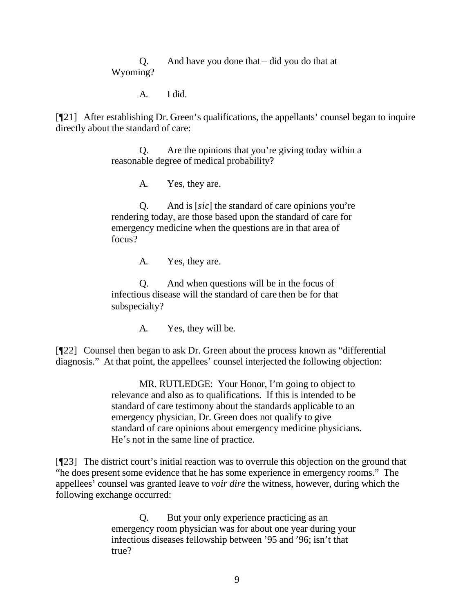Q. And have you done that – did you do that at Wyoming?

A. I did.

[¶21] After establishing Dr. Green's qualifications, the appellants' counsel began to inquire directly about the standard of care:

> Q. Are the opinions that you're giving today within a reasonable degree of medical probability?

> > A. Yes, they are.

Q. And is [*sic*] the standard of care opinions you're rendering today, are those based upon the standard of care for emergency medicine when the questions are in that area of focus?

A. Yes, they are.

Q. And when questions will be in the focus of infectious disease will the standard of care then be for that subspecialty?

A. Yes, they will be.

[¶22] Counsel then began to ask Dr. Green about the process known as "differential diagnosis." At that point, the appellees' counsel interjected the following objection:

> MR. RUTLEDGE: Your Honor, I'm going to object to relevance and also as to qualifications. If this is intended to be standard of care testimony about the standards applicable to an emergency physician, Dr. Green does not qualify to give standard of care opinions about emergency medicine physicians. He's not in the same line of practice.

[¶23] The district court's initial reaction was to overrule this objection on the ground that "he does present some evidence that he has some experience in emergency rooms." The appellees' counsel was granted leave to *voir dire* the witness, however, during which the following exchange occurred:

> Q. But your only experience practicing as an emergency room physician was for about one year during your infectious diseases fellowship between '95 and '96; isn't that true?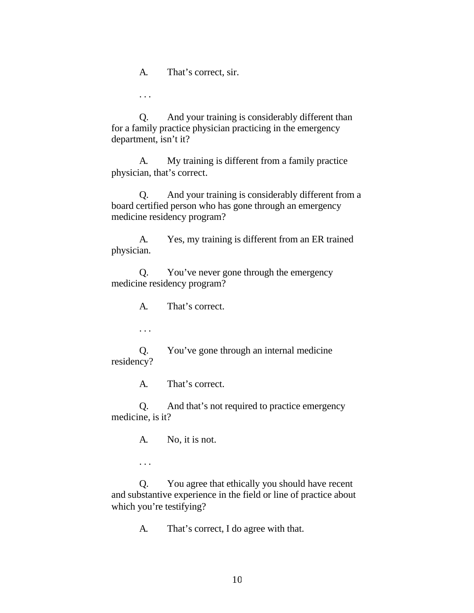A. That's correct, sir.

. . .

Q. And your training is considerably different than for a family practice physician practicing in the emergency department, isn't it?

A. My training is different from a family practice physician, that's correct.

Q. And your training is considerably different from a board certified person who has gone through an emergency medicine residency program?

A. Yes, my training is different from an ER trained physician.

Q. You've never gone through the emergency medicine residency program?

A. That's correct.

. . .

Q. You've gone through an internal medicine residency?

A. That's correct.

Q. And that's not required to practice emergency medicine, is it?

A. No, it is not.

. . .

Q. You agree that ethically you should have recent and substantive experience in the field or line of practice about which you're testifying?

A. That's correct, I do agree with that.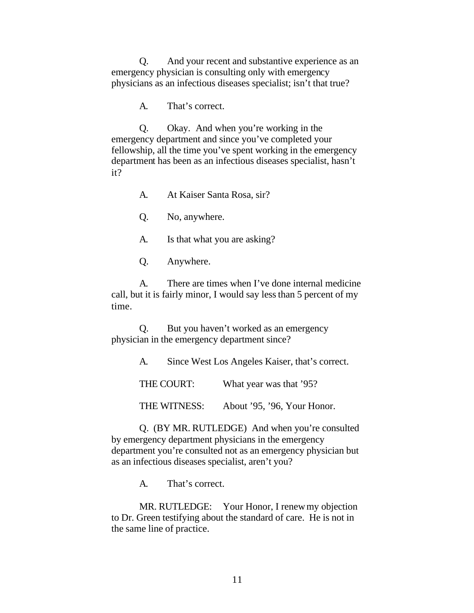Q. And your recent and substantive experience as an emergency physician is consulting only with emergency physicians as an infectious diseases specialist; isn't that true?

A. That's correct.

Q. Okay. And when you're working in the emergency department and since you've completed your fellowship, all the time you've spent working in the emergency department has been as an infectious diseases specialist, hasn't it?

A. At Kaiser Santa Rosa, sir?

Q. No, anywhere.

A. Is that what you are asking?

Q. Anywhere.

A. There are times when I've done internal medicine call, but it is fairly minor, I would say less than 5 percent of my time.

Q. But you haven't worked as an emergency physician in the emergency department since?

A. Since West Los Angeles Kaiser, that's correct.

THE COURT: What year was that '95?

THE WITNESS: About '95, '96, Your Honor.

Q. (BY MR. RUTLEDGE) And when you're consulted by emergency department physicians in the emergency department you're consulted not as an emergency physician but as an infectious diseases specialist, aren't you?

A. That's correct.

MR. RUTLEDGE: Your Honor, I renew my objection to Dr. Green testifying about the standard of care. He is not in the same line of practice.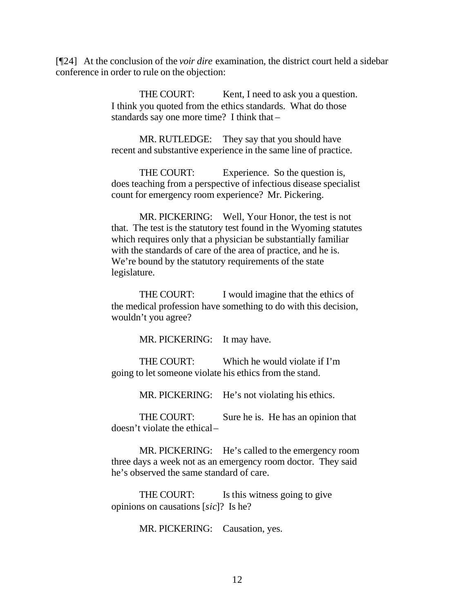[¶24] At the conclusion of the *voir dire* examination, the district court held a sidebar conference in order to rule on the objection:

> THE COURT: Kent, I need to ask you a question. I think you quoted from the ethics standards. What do those standards say one more time? I think that –

MR. RUTLEDGE: They say that you should have recent and substantive experience in the same line of practice.

THE COURT: Experience. So the question is, does teaching from a perspective of infectious disease specialist count for emergency room experience? Mr. Pickering.

MR. PICKERING: Well, Your Honor, the test is not that. The test is the statutory test found in the Wyoming statutes which requires only that a physician be substantially familiar with the standards of care of the area of practice, and he is. We're bound by the statutory requirements of the state legislature.

THE COURT: I would imagine that the ethics of the medical profession have something to do with this decision, wouldn't you agree?

MR. PICKERING: It may have.

THE COURT: Which he would violate if I'm going to let someone violate his ethics from the stand.

MR. PICKERING: He's not violating his ethics.

THE COURT: Sure he is. He has an opinion that doesn't violate the ethical –

MR. PICKERING: He's called to the emergency room three days a week not as an emergency room doctor. They said he's observed the same standard of care.

THE COURT: Is this witness going to give opinions on causations [*sic*]? Is he?

MR. PICKERING: Causation, yes.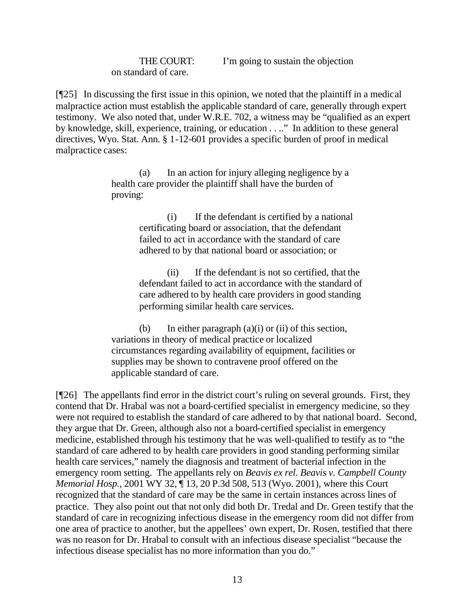on standard of care.

THE COURT: I'm going to sustain the objection

[¶25] In discussing the first issue in this opinion, we noted that the plaintiff in a medical malpractice action must establish the applicable standard of care, generally through expert testimony. We also noted that, under W.R.E. 702, a witness may be "qualified as an expert by knowledge, skill, experience, training, or education . . .." In addition to these general directives, Wyo. Stat. Ann. § 1-12-601 provides a specific burden of proof in medical malpractice cases:

> (a) In an action for injury alleging negligence by a health care provider the plaintiff shall have the burden of proving:

> > (i) If the defendant is certified by a national certificating board or association, that the defendant failed to act in accordance with the standard of care adhered to by that national board or association; or

(ii) If the defendant is not so certified, that the defendant failed to act in accordance with the standard of care adhered to by health care providers in good standing performing similar health care services.

(b) In either paragraph  $(a)(i)$  or  $(ii)$  of this section, variations in theory of medical practice or localized circumstances regarding availability of equipment, facilities or supplies may be shown to contravene proof offered on the applicable standard of care.

[¶26] The appellants find error in the district court's ruling on several grounds. First, they contend that Dr. Hrabal was not a board-certified specialist in emergency medicine, so they were not required to establish the standard of care adhered to by that national board. Second, they argue that Dr. Green, although also not a board-certified specialist in emergency medicine, established through his testimony that he was well-qualified to testify as to "the standard of care adhered to by health care providers in good standing performing similar health care services," namely the diagnosis and treatment of bacterial infection in the emergency room setting. The appellants rely on *Beavis ex rel. Beavis v. Campbell County Memorial Hosp.,* 2001 WY 32, ¶ 13, 20 P.3d 508, 513 (Wyo. 2001), where this Court recognized that the standard of care may be the same in certain instances across lines of practice. They also point out that not only did both Dr. Tredal and Dr. Green testify that the standard of care in recognizing infectious disease in the emergency room did not differ from one area of practice to another, but the appellees' own expert, Dr. Rosen, testified that there was no reason for Dr. Hrabal to consult with an infectious disease specialist "because the infectious disease specialist has no more information than you do."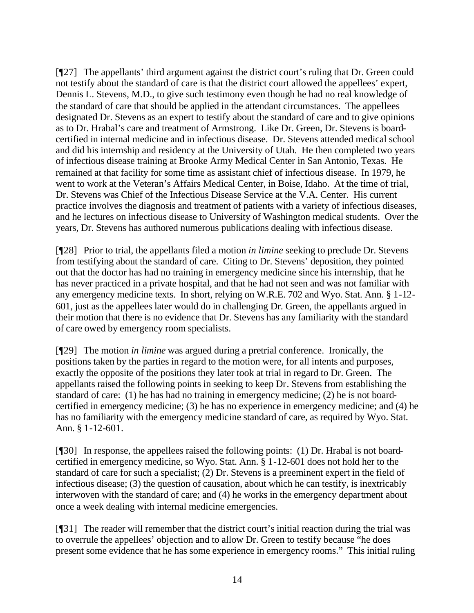[¶27] The appellants' third argument against the district court's ruling that Dr. Green could not testify about the standard of care is that the district court allowed the appellees' expert, Dennis L. Stevens, M.D., to give such testimony even though he had no real knowledge of the standard of care that should be applied in the attendant circumstances. The appellees designated Dr. Stevens as an expert to testify about the standard of care and to give opinions as to Dr. Hrabal's care and treatment of Armstrong. Like Dr. Green, Dr. Stevens is boardcertified in internal medicine and in infectious disease. Dr. Stevens attended medical school and did his internship and residency at the University of Utah. He then completed two years of infectious disease training at Brooke Army Medical Center in San Antonio, Texas. He remained at that facility for some time as assistant chief of infectious disease. In 1979, he went to work at the Veteran's Affairs Medical Center, in Boise, Idaho. At the time of trial, Dr. Stevens was Chief of the Infectious Disease Service at the V.A. Center. His current practice involves the diagnosis and treatment of patients with a variety of infectious diseases, and he lectures on infectious disease to University of Washington medical students. Over the years, Dr. Stevens has authored numerous publications dealing with infectious disease.

[¶28] Prior to trial, the appellants filed a motion *in limine* seeking to preclude Dr. Stevens from testifying about the standard of care. Citing to Dr. Stevens' deposition, they pointed out that the doctor has had no training in emergency medicine since his internship, that he has never practiced in a private hospital, and that he had not seen and was not familiar with any emergency medicine texts. In short, relying on W.R.E. 702 and Wyo. Stat. Ann. § 1-12- 601, just as the appellees later would do in challenging Dr. Green, the appellants argued in their motion that there is no evidence that Dr. Stevens has any familiarity with the standard of care owed by emergency room specialists.

[¶29] The motion *in limine* was argued during a pretrial conference. Ironically, the positions taken by the parties in regard to the motion were, for all intents and purposes, exactly the opposite of the positions they later took at trial in regard to Dr. Green. The appellants raised the following points in seeking to keep Dr. Stevens from establishing the standard of care: (1) he has had no training in emergency medicine; (2) he is not boardcertified in emergency medicine; (3) he has no experience in emergency medicine; and (4) he has no familiarity with the emergency medicine standard of care, as required by Wyo. Stat. Ann. § 1-12-601.

[¶30] In response, the appellees raised the following points: (1) Dr. Hrabal is not boardcertified in emergency medicine, so Wyo. Stat. Ann. § 1-12-601 does not hold her to the standard of care for such a specialist; (2) Dr. Stevens is a preeminent expert in the field of infectious disease; (3) the question of causation, about which he can testify, is inextricably interwoven with the standard of care; and (4) he works in the emergency department about once a week dealing with internal medicine emergencies.

[¶31] The reader will remember that the district court's initial reaction during the trial was to overrule the appellees' objection and to allow Dr. Green to testify because "he does present some evidence that he has some experience in emergency rooms." This initial ruling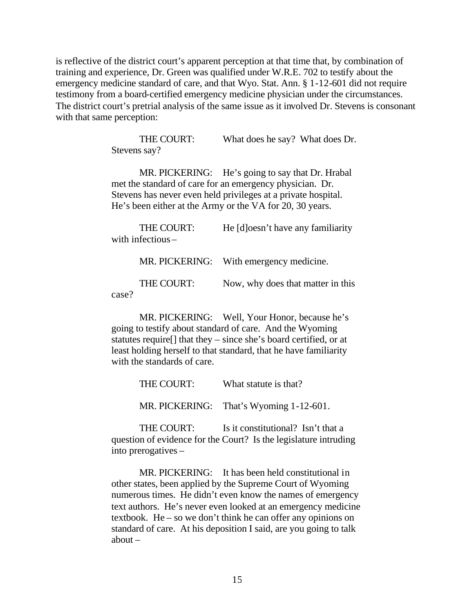is reflective of the district court's apparent perception at that time that, by combination of training and experience, Dr. Green was qualified under W.R.E. 702 to testify about the emergency medicine standard of care, and that Wyo. Stat. Ann. § 1-12-601 did not require testimony from a board-certified emergency medicine physician under the circumstances. The district court's pretrial analysis of the same issue as it involved Dr. Stevens is consonant with that same perception:

> THE COURT: What does he say? What does Dr. Stevens say?

MR. PICKERING: He's going to say that Dr. Hrabal met the standard of care for an emergency physician. Dr. Stevens has never even held privileges at a private hospital. He's been either at the Army or the VA for 20, 30 years.

THE COURT: He [d]oesn't have any familiarity with infectious – MR. PICKERING: With emergency medicine.

|       | THE COURT: |  | Now, why does that matter in this |
|-------|------------|--|-----------------------------------|
| case? |            |  |                                   |

MR. PICKERING: Well, Your Honor, because he's going to testify about standard of care. And the Wyoming statutes require[] that they – since she's board certified, or at least holding herself to that standard, that he have familiarity with the standards of care.

> THE COURT: What statute is that? MR. PICKERING: That's Wyoming 1-12-601.

THE COURT: Is it constitutional? Isn't that a question of evidence for the Court? Is the legislature intruding into prerogatives –

MR. PICKERING: It has been held constitutional in other states, been applied by the Supreme Court of Wyoming numerous times. He didn't even know the names of emergency text authors. He's never even looked at an emergency medicine textbook. He – so we don't think he can offer any opinions on standard of care. At his deposition I said, are you going to talk about –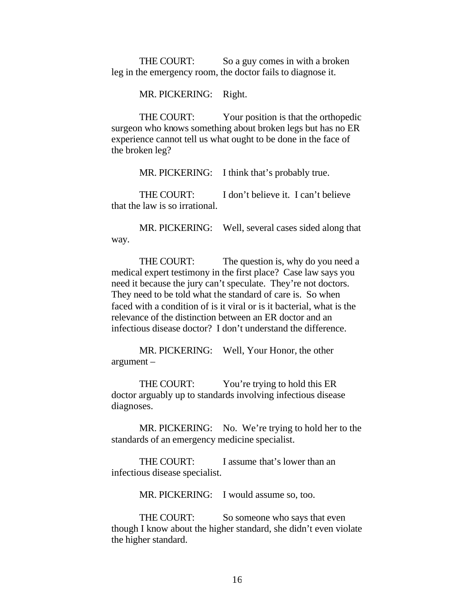THE COURT: So a guy comes in with a broken leg in the emergency room, the doctor fails to diagnose it.

MR. PICKERING: Right.

THE COURT: Your position is that the orthopedic surgeon who knows something about broken legs but has no ER experience cannot tell us what ought to be done in the face of the broken leg?

MR. PICKERING: I think that's probably true.

THE COURT: I don't believe it. I can't believe that the law is so irrational.

MR. PICKERING: Well, several cases sided along that way.

THE COURT: The question is, why do you need a medical expert testimony in the first place? Case law says you need it because the jury can't speculate. They're not doctors. They need to be told what the standard of care is. So when faced with a condition of is it viral or is it bacterial, what is the relevance of the distinction between an ER doctor and an infectious disease doctor? I don't understand the difference.

MR. PICKERING: Well, Your Honor, the other argument –

THE COURT: You're trying to hold this ER doctor arguably up to standards involving infectious disease diagnoses.

MR. PICKERING: No. We're trying to hold her to the standards of an emergency medicine specialist.

THE COURT: I assume that's lower than an infectious disease specialist.

MR. PICKERING: I would assume so, too.

THE COURT: So someone who says that even though I know about the higher standard, she didn't even violate the higher standard.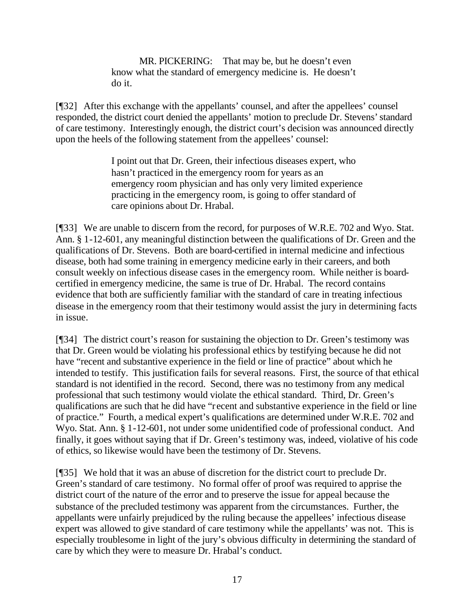MR. PICKERING: That may be, but he doesn't even know what the standard of emergency medicine is. He doesn't do it.

[¶32] After this exchange with the appellants' counsel, and after the appellees' counsel responded, the district court denied the appellants' motion to preclude Dr. Stevens' standard of care testimony. Interestingly enough, the district court's decision was announced directly upon the heels of the following statement from the appellees' counsel:

> I point out that Dr. Green, their infectious diseases expert, who hasn't practiced in the emergency room for years as an emergency room physician and has only very limited experience practicing in the emergency room, is going to offer standard of care opinions about Dr. Hrabal.

[¶33] We are unable to discern from the record, for purposes of W.R.E. 702 and Wyo. Stat. Ann. § 1-12-601, any meaningful distinction between the qualifications of Dr. Green and the qualifications of Dr. Stevens. Both are board-certified in internal medicine and infectious disease, both had some training in emergency medicine early in their careers, and both consult weekly on infectious disease cases in the emergency room. While neither is boardcertified in emergency medicine, the same is true of Dr. Hrabal. The record contains evidence that both are sufficiently familiar with the standard of care in treating infectious disease in the emergency room that their testimony would assist the jury in determining facts in issue.

[¶34] The district court's reason for sustaining the objection to Dr. Green's testimony was that Dr. Green would be violating his professional ethics by testifying because he did not have "recent and substantive experience in the field or line of practice" about which he intended to testify. This justification fails for several reasons. First, the source of that ethical standard is not identified in the record. Second, there was no testimony from any medical professional that such testimony would violate the ethical standard. Third, Dr. Green's qualifications are such that he did have "recent and substantive experience in the field or line of practice." Fourth, a medical expert's qualifications are determined under W.R.E. 702 and Wyo. Stat. Ann. § 1-12-601, not under some unidentified code of professional conduct. And finally, it goes without saying that if Dr. Green's testimony was, indeed, violative of his code of ethics, so likewise would have been the testimony of Dr. Stevens.

[¶35] We hold that it was an abuse of discretion for the district court to preclude Dr. Green's standard of care testimony. No formal offer of proof was required to apprise the district court of the nature of the error and to preserve the issue for appeal because the substance of the precluded testimony was apparent from the circumstances. Further, the appellants were unfairly prejudiced by the ruling because the appellees' infectious disease expert was allowed to give standard of care testimony while the appellants' was not. This is especially troublesome in light of the jury's obvious difficulty in determining the standard of care by which they were to measure Dr. Hrabal's conduct.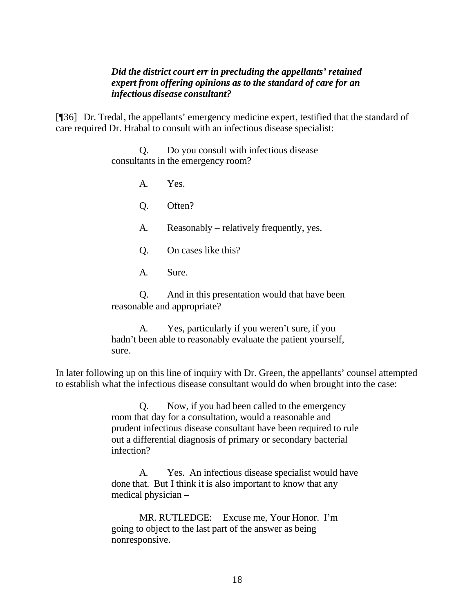#### *Did the district court err in precluding the appellants' retained expert from offering opinions as to the standard of care for an infectious disease consultant?*

[¶36] Dr. Tredal, the appellants' emergency medicine expert, testified that the standard of care required Dr. Hrabal to consult with an infectious disease specialist:

> Q. Do you consult with infectious disease consultants in the emergency room?

> > A. Yes.

Q. Often?

A. Reasonably – relatively frequently, yes.

Q. On cases like this?

A. Sure.

Q. And in this presentation would that have been reasonable and appropriate?

A. Yes, particularly if you weren't sure, if you hadn't been able to reasonably evaluate the patient yourself, sure.

In later following up on this line of inquiry with Dr. Green, the appellants' counsel attempted to establish what the infectious disease consultant would do when brought into the case:

> Q. Now, if you had been called to the emergency room that day for a consultation, would a reasonable and prudent infectious disease consultant have been required to rule out a differential diagnosis of primary or secondary bacterial infection?

> A. Yes. An infectious disease specialist would have done that. But I think it is also important to know that any medical physician –

MR. RUTLEDGE: Excuse me, Your Honor. I'm going to object to the last part of the answer as being nonresponsive.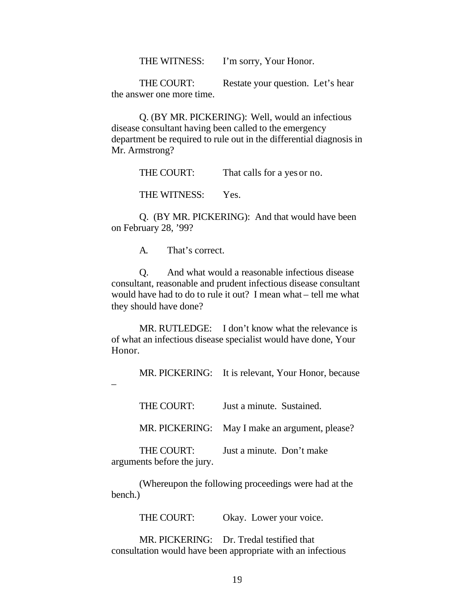THE WITNESS: I'm sorry, Your Honor.

THE COURT: Restate your question. Let's hear the answer one more time.

Q. (BY MR. PICKERING): Well, would an infectious disease consultant having been called to the emergency department be required to rule out in the differential diagnosis in Mr. Armstrong?

THE COURT: That calls for a yes or no.

THE WITNESS: Yes.

Q. (BY MR. PICKERING): And that would have been on February 28, '99?

A. That's correct.

Q. And what would a reasonable infectious disease consultant, reasonable and prudent infectious disease consultant would have had to do to rule it out? I mean what – tell me what they should have done?

MR. RUTLEDGE: I don't know what the relevance is of what an infectious disease specialist would have done, Your Honor.

MR. PICKERING: It is relevant, Your Honor, because

–

| THE COURT:                               | Just a minute. Sustained.                      |
|------------------------------------------|------------------------------------------------|
|                                          | MR. PICKERING: May I make an argument, please? |
| THE COURT:<br>arguments before the jury. | Just a minute. Don't make                      |

(Whereupon the following proceedings were had at the bench.)

THE COURT: Okay. Lower your voice.

MR. PICKERING: Dr. Tredal testified that consultation would have been appropriate with an infectious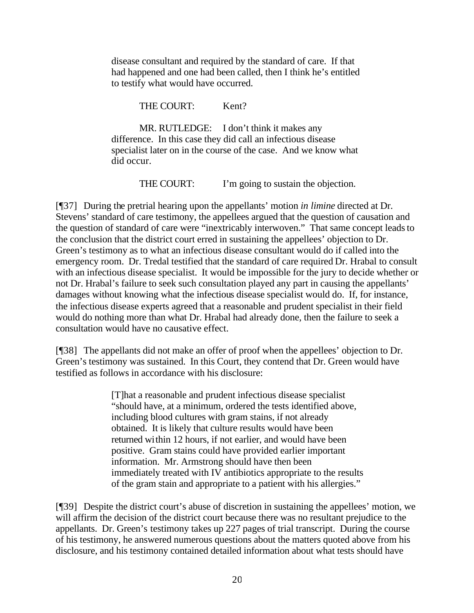disease consultant and required by the standard of care. If that had happened and one had been called, then I think he's entitled to testify what would have occurred.

THE COURT: Kent?

MR. RUTLEDGE: I don't think it makes any difference. In this case they did call an infectious disease specialist later on in the course of the case. And we know what did occur.

THE COURT: I'm going to sustain the objection.

[¶37] During the pretrial hearing upon the appellants' motion *in limine* directed at Dr. Stevens' standard of care testimony, the appellees argued that the question of causation and the question of standard of care were "inextricably interwoven." That same concept leads to the conclusion that the district court erred in sustaining the appellees' objection to Dr. Green's testimony as to what an infectious disease consultant would do if called into the emergency room. Dr. Tredal testified that the standard of care required Dr. Hrabal to consult with an infectious disease specialist. It would be impossible for the jury to decide whether or not Dr. Hrabal's failure to seek such consultation played any part in causing the appellants' damages without knowing what the infectious disease specialist would do. If, for instance, the infectious disease experts agreed that a reasonable and prudent specialist in their field would do nothing more than what Dr. Hrabal had already done, then the failure to seek a consultation would have no causative effect.

[¶38] The appellants did not make an offer of proof when the appellees' objection to Dr. Green's testimony was sustained. In this Court, they contend that Dr. Green would have testified as follows in accordance with his disclosure:

> [T]hat a reasonable and prudent infectious disease specialist "should have, at a minimum, ordered the tests identified above, including blood cultures with gram stains, if not already obtained. It is likely that culture results would have been returned within 12 hours, if not earlier, and would have been positive. Gram stains could have provided earlier important information. Mr. Armstrong should have then been immediately treated with IV antibiotics appropriate to the results of the gram stain and appropriate to a patient with his allergies."

[¶39] Despite the district court's abuse of discretion in sustaining the appellees' motion, we will affirm the decision of the district court because there was no resultant prejudice to the appellants. Dr. Green's testimony takes up 227 pages of trial transcript. During the course of his testimony, he answered numerous questions about the matters quoted above from his disclosure, and his testimony contained detailed information about what tests should have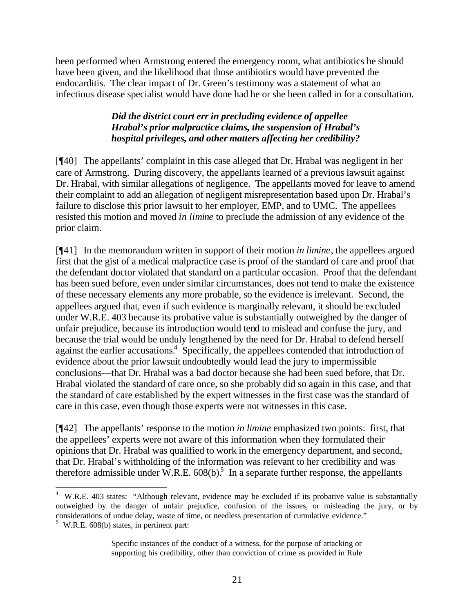been performed when Armstrong entered the emergency room, what antibiotics he should have been given, and the likelihood that those antibiotics would have prevented the endocarditis. The clear impact of Dr. Green's testimony was a statement of what an infectious disease specialist would have done had he or she been called in for a consultation.

# *Did the district court err in precluding evidence of appellee Hrabal's prior malpractice claims, the suspension of Hrabal's hospital privileges, and other matters affecting her credibility?*

[¶40] The appellants' complaint in this case alleged that Dr. Hrabal was negligent in her care of Armstrong. During discovery, the appellants learned of a previous lawsuit against Dr. Hrabal, with similar allegations of negligence. The appellants moved for leave to amend their complaint to add an allegation of negligent misrepresentation based upon Dr. Hrabal's failure to disclose this prior lawsuit to her employer, EMP, and to UMC. The appellees resisted this motion and moved *in limine* to preclude the admission of any evidence of the prior claim.

[¶41] In the memorandum written in support of their motion *in limine*, the appellees argued first that the gist of a medical malpractice case is proof of the standard of care and proof that the defendant doctor violated that standard on a particular occasion. Proof that the defendant has been sued before, even under similar circumstances, does not tend to make the existence of these necessary elements any more probable, so the evidence is irrelevant. Second, the appellees argued that, even if such evidence is marginally relevant, it should be excluded under W.R.E. 403 because its probative value is substantially outweighed by the danger of unfair prejudice, because its introduction would tend to mislead and confuse the jury, and because the trial would be unduly lengthened by the need for Dr. Hrabal to defend herself against the earlier accusations.<sup>4</sup> Specifically, the appellees contended that introduction of evidence about the prior lawsuit undoubtedly would lead the jury to impermissible conclusions—that Dr. Hrabal was a bad doctor because she had been sued before, that Dr. Hrabal violated the standard of care once, so she probably did so again in this case, and that the standard of care established by the expert witnesses in the first case was the standard of care in this case, even though those experts were not witnesses in this case.

[¶42] The appellants' response to the motion *in limine* emphasized two points: first, that the appellees' experts were not aware of this information when they formulated their opinions that Dr. Hrabal was qualified to work in the emergency department, and second, that Dr. Hrabal's withholding of the information was relevant to her credibility and was therefore admissible under W.R.E.  $608(b)$ <sup>5</sup> In a separate further response, the appellants

 4 W.R.E. 403 states: "Although relevant, evidence may be excluded if its probative value is substantially outweighed by the danger of unfair prejudice, confusion of the issues, or misleading the jury, or by considerations of undue delay, waste of time, or needless presentation of cumulative evidence."

 $5$  W.R.E. 608(b) states, in pertinent part:

Specific instances of the conduct of a witness, for the purpose of attacking or supporting his credibility, other than conviction of crime as provided in Rule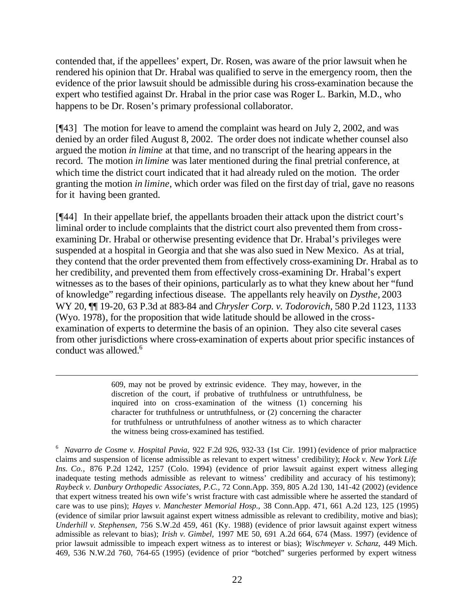contended that, if the appellees' expert, Dr. Rosen, was aware of the prior lawsuit when he rendered his opinion that Dr. Hrabal was qualified to serve in the emergency room, then the evidence of the prior lawsuit should be admissible during his cross-examination because the expert who testified against Dr. Hrabal in the prior case was Roger L. Barkin, M.D., who happens to be Dr. Rosen's primary professional collaborator.

[¶43] The motion for leave to amend the complaint was heard on July 2, 2002, and was denied by an order filed August 8, 2002. The order does not indicate whether counsel also argued the motion *in limine* at that time, and no transcript of the hearing appears in the record. The motion *in limine* was later mentioned during the final pretrial conference, at which time the district court indicated that it had already ruled on the motion. The order granting the motion *in limine*, which order was filed on the first day of trial, gave no reasons for it having been granted.

[¶44] In their appellate brief, the appellants broaden their attack upon the district court's liminal order to include complaints that the district court also prevented them from crossexamining Dr. Hrabal or otherwise presenting evidence that Dr. Hrabal's privileges were suspended at a hospital in Georgia and that she was also sued in New Mexico. As at trial, they contend that the order prevented them from effectively cross-examining Dr. Hrabal as to her credibility, and prevented them from effectively cross-examining Dr. Hrabal's expert witnesses as to the bases of their opinions, particularly as to what they knew about her "fund of knowledge" regarding infectious disease. The appellants rely heavily on *Dysthe,* 2003 WY 20, ¶¶ 19-20, 63 P.3d at 883-84 and *Chrysler Corp. v. Todorovich,* 580 P.2d 1123, 1133 (Wyo. 1978), for the proposition that wide latitude should be allowed in the crossexamination of experts to determine the basis of an opinion. They also cite several cases from other jurisdictions where cross-examination of experts about prior specific instances of conduct was allowed.<sup>6</sup>

> 609, may not be proved by extrinsic evidence. They may, however, in the discretion of the court, if probative of truthfulness or untruthfulness, be inquired into on cross-examination of the witness (1) concerning his character for truthfulness or untruthfulness, or (2) concerning the character for truthfulness or untruthfulness of another witness as to which character the witness being cross-examined has testified.

l

<sup>6</sup> *Navarro de Cosme v. Hospital Pavia,* 922 F.2d 926, 932-33 (1st Cir. 1991) (evidence of prior malpractice claims and suspension of license admissible as relevant to expert witness' credibility); *Hock v. New York Life Ins. Co.,* 876 P.2d 1242, 1257 (Colo. 1994) (evidence of prior lawsuit against expert witness alleging inadequate testing methods admissible as relevant to witness' credibility and accuracy of his testimony); *Raybeck v. Danbury Orthopedic Associates, P.C.,* 72 Conn.App. 359, 805 A.2d 130, 141-42 (2002) (evidence that expert witness treated his own wife's wrist fracture with cast admissible where he asserted the standard of care was to use pins); *Hayes v. Manchester Memorial Hosp.,* 38 Conn.App. 471, 661 A.2d 123, 125 (1995) (evidence of similar prior lawsuit against expert witness admissible as relevant to credibility, motive and bias); *Underhill v. Stephensen,* 756 S.W.2d 459, 461 (Ky. 1988) (evidence of prior lawsuit against expert witness admissible as relevant to bias); *Irish v. Gimbel,* 1997 ME 50, 691 A.2d 664, 674 (Mass. 1997) (evidence of prior lawsuit admissible to impeach expert witness as to interest or bias); *Wischmeyer v. Schanz,* 449 Mich. 469, 536 N.W.2d 760, 764-65 (1995) (evidence of prior "botched" surgeries performed by expert witness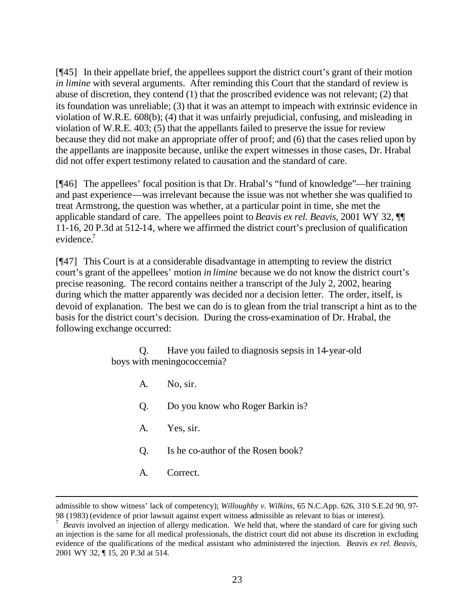[¶45] In their appellate brief, the appellees support the district court's grant of their motion *in limine* with several arguments. After reminding this Court that the standard of review is abuse of discretion, they contend (1) that the proscribed evidence was not relevant; (2) that its foundation was unreliable; (3) that it was an attempt to impeach with extrinsic evidence in violation of W.R.E. 608(b); (4) that it was unfairly prejudicial, confusing, and misleading in violation of W.R.E. 403; (5) that the appellants failed to preserve the issue for review because they did not make an appropriate offer of proof; and (6) that the cases relied upon by the appellants are inapposite because, unlike the expert witnesses in those cases, Dr. Hrabal did not offer expert testimony related to causation and the standard of care.

[¶46] The appellees' focal position is that Dr. Hrabal's "fund of knowledge"—her training and past experience—was irrelevant because the issue was not whether she was qualified to treat Armstrong, the question was whether, at a particular point in time, she met the applicable standard of care. The appellees point to *Beavis ex rel. Beavis,* 2001 WY 32, ¶¶ 11-16, 20 P.3d at 512-14, where we affirmed the district court's preclusion of qualification evidence.<sup>7</sup>

[¶47] This Court is at a considerable disadvantage in attempting to review the district court's grant of the appellees' motion *in limine* because we do not know the district court's precise reasoning. The record contains neither a transcript of the July 2, 2002, hearing during which the matter apparently was decided nor a decision letter. The order, itself, is devoid of explanation. The best we can do is to glean from the trial transcript a hint as to the basis for the district court's decision. During the cross-examination of Dr. Hrabal, the following exchange occurred:

> Q. Have you failed to diagnosis sepsis in 14-year-old boys with meningococcemia?

A. No, sir. Q. Do you know who Roger Barkin is? A. Yes, sir. Q. Is he co-author of the Rosen book? A. Correct.

l

admissible to show witness' lack of competency); *Willoughby v. Wilkins,* 65 N.C.App. 626, 310 S.E.2d 90, 97- 98 (1983) (evidence of prior lawsuit against expert witness admissible as relevant to bias or interest).

<sup>&</sup>lt;sup>7</sup> Beavis involved an injection of allergy medication. We held that, where the standard of care for giving such an injection is the same for all medical professionals, the district court did not abuse its discretion in excluding evidence of the qualifications of the medical assistant who administered the injection. *Beavis ex rel. Beavis,*  2001 WY 32, ¶ 15, 20 P.3d at 514.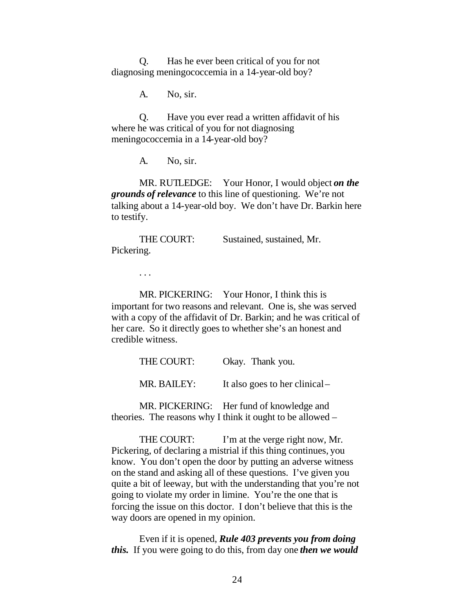Q. Has he ever been critical of you for not diagnosing meningococcemia in a 14-year-old boy?

A. No, sir.

Q. Have you ever read a written affidavit of his where he was critical of you for not diagnosing meningococcemia in a 14-year-old boy?

A. No, sir.

MR. RUTLEDGE: Your Honor, I would object *on the grounds of relevance* to this line of questioning. We're not talking about a 14-year-old boy. We don't have Dr. Barkin here to testify.

THE COURT: Sustained, sustained, Mr. Pickering.

. . .

MR. PICKERING: Your Honor, I think this is important for two reasons and relevant. One is, she was served with a copy of the affidavit of Dr. Barkin; and he was critical of her care. So it directly goes to whether she's an honest and credible witness.

| THE COURT:  | Okay. Thank you.               |
|-------------|--------------------------------|
| MR. BAILEY: | It also goes to her clinical – |

MR. PICKERING: Her fund of knowledge and theories. The reasons why I think it ought to be allowed –

THE COURT: I'm at the verge right now, Mr. Pickering, of declaring a mistrial if this thing continues, you know. You don't open the door by putting an adverse witness on the stand and asking all of these questions. I've given you quite a bit of leeway, but with the understanding that you're not going to violate my order in limine. You're the one that is forcing the issue on this doctor. I don't believe that this is the way doors are opened in my opinion.

Even if it is opened, *Rule 403 prevents you from doing this.* If you were going to do this, from day one *then we would*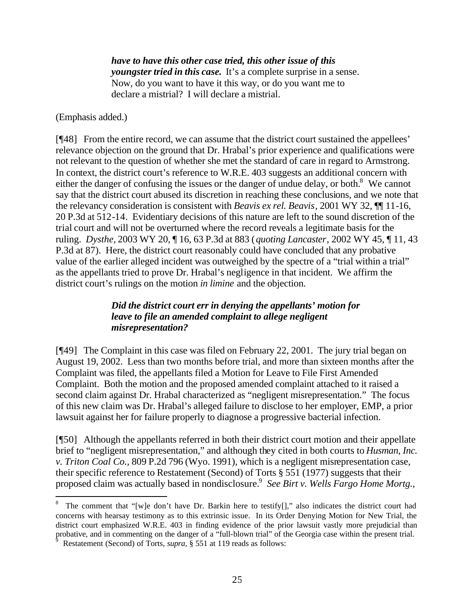*have to have this other case tried, this other issue of this youngster tried in this case.* It's a complete surprise in a sense. Now, do you want to have it this way, or do you want me to declare a mistrial? I will declare a mistrial.

(Emphasis added.)

l

[¶48] From the entire record, we can assume that the district court sustained the appellees' relevance objection on the ground that Dr. Hrabal's prior experience and qualifications were not relevant to the question of whether she met the standard of care in regard to Armstrong. In context, the district court's reference to W.R.E. 403 suggests an additional concern with either the danger of confusing the issues or the danger of undue delay, or both. $8$  We cannot say that the district court abused its discretion in reaching these conclusions, and we note that the relevancy consideration is consistent with *Beavis ex rel. Beavis*, 2001 WY 32, ¶¶ 11-16, 20 P.3d at 512-14. Evidentiary decisions of this nature are left to the sound discretion of the trial court and will not be overturned where the record reveals a legitimate basis for the ruling. *Dysthe,* 2003 WY 20, ¶ 16, 63 P.3d at 883 (*quoting Lancaster*, 2002 WY 45, ¶ 11, 43 P.3d at 87). Here, the district court reasonably could have concluded that any probative value of the earlier alleged incident was outweighed by the spectre of a "trial within a trial" as the appellants tried to prove Dr. Hrabal's negligence in that incident. We affirm the district court's rulings on the motion *in limine* and the objection.

### *Did the district court err in denying the appellants' motion for leave to file an amended complaint to allege negligent misrepresentation?*

[¶49] The Complaint in this case was filed on February 22, 2001. The jury trial began on August 19, 2002. Less than two months before trial, and more than sixteen months after the Complaint was filed, the appellants filed a Motion for Leave to File First Amended Complaint. Both the motion and the proposed amended complaint attached to it raised a second claim against Dr. Hrabal characterized as "negligent misrepresentation." The focus of this new claim was Dr. Hrabal's alleged failure to disclose to her employer, EMP, a prior lawsuit against her for failure properly to diagnose a progressive bacterial infection.

[¶50] Although the appellants referred in both their district court motion and their appellate brief to "negligent misrepresentation," and although they cited in both courts to *Husman, Inc. v. Triton Coal Co.,* 809 P.2d 796 (Wyo. 1991), which is a negligent misrepresentation case, their specific reference to Restatement (Second) of Torts § 551 (1977) suggests that their proposed claim was actually based in nondisclosure.<sup>9</sup> See Birt v. Wells Fargo Home Mortg.,

<sup>8</sup> The comment that "[w]e don't have Dr. Barkin here to testify[]," also indicates the district court had concerns with hearsay testimony as to this extrinsic issue. In its Order Denying Motion for New Trial, the district court emphasized W.R.E. 403 in finding evidence of the prior lawsuit vastly more prejudicial than probative, and in commenting on the danger of a "full-blown trial" of the Georgia case within the present trial.

Restatement (Second) of Torts, *supra*, § 551 at 119 reads as follows: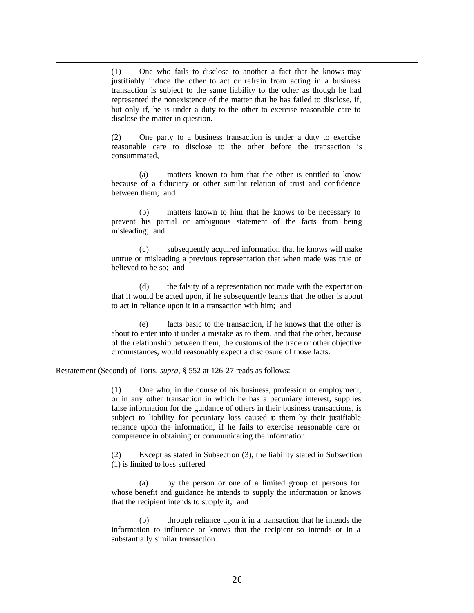(1) One who fails to disclose to another a fact that he knows may justifiably induce the other to act or refrain from acting in a business transaction is subject to the same liability to the other as though he had represented the nonexistence of the matter that he has failed to disclose, if, but only if, he is under a duty to the other to exercise reasonable care to disclose the matter in question.

(2) One party to a business transaction is under a duty to exercise reasonable care to disclose to the other before the transaction is consummated,

(a) matters known to him that the other is entitled to know because of a fiduciary or other similar relation of trust and confidence between them; and

(b) matters known to him that he knows to be necessary to prevent his partial or ambiguous statement of the facts from being misleading; and

(c) subsequently acquired information that he knows will make untrue or misleading a previous representation that when made was true or believed to be so; and

(d) the falsity of a representation not made with the expectation that it would be acted upon, if he subsequently learns that the other is about to act in reliance upon it in a transaction with him; and

(e) facts basic to the transaction, if he knows that the other is about to enter into it under a mistake as to them, and that the other, because of the relationship between them, the customs of the trade or other objective circumstances, would reasonably expect a disclosure of those facts.

Restatement (Second) of Torts, *supra*, § 552 at 126-27 reads as follows:

l

(1) One who, in the course of his business, profession or employment, or in any other transaction in which he has a pecuniary interest, supplies false information for the guidance of others in their business transactions, is subject to liability for pecuniary loss caused to them by their justifiable reliance upon the information, if he fails to exercise reasonable care or competence in obtaining or communicating the information.

(2) Except as stated in Subsection (3), the liability stated in Subsection (1) is limited to loss suffered

(a) by the person or one of a limited group of persons for whose benefit and guidance he intends to supply the information or knows that the recipient intends to supply it; and

(b) through reliance upon it in a transaction that he intends the information to influence or knows that the recipient so intends or in a substantially similar transaction.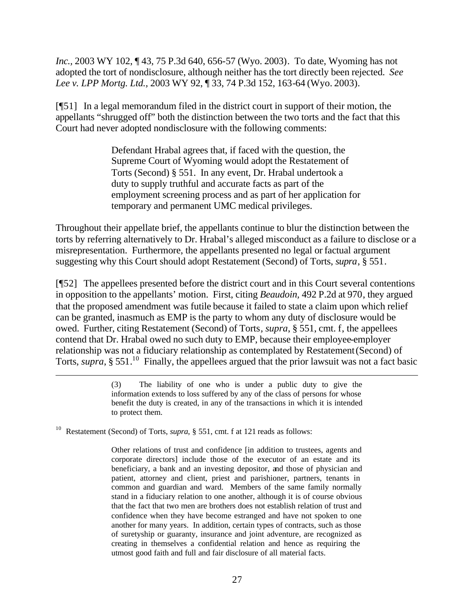*Inc.,* 2003 WY 102, ¶ 43, 75 P.3d 640, 656-57 (Wyo. 2003). To date, Wyoming has not adopted the tort of nondisclosure, although neither has the tort directly been rejected. *See Lee v. LPP Mortg. Ltd.,* 2003 WY 92, ¶ 33, 74 P.3d 152, 163-64 (Wyo. 2003).

[¶51] In a legal memorandum filed in the district court in support of their motion, the appellants "shrugged off" both the distinction between the two torts and the fact that this Court had never adopted nondisclosure with the following comments:

> Defendant Hrabal agrees that, if faced with the question, the Supreme Court of Wyoming would adopt the Restatement of Torts (Second) § 551. In any event, Dr. Hrabal undertook a duty to supply truthful and accurate facts as part of the employment screening process and as part of her application for temporary and permanent UMC medical privileges.

Throughout their appellate brief, the appellants continue to blur the distinction between the torts by referring alternatively to Dr. Hrabal's alleged misconduct as a failure to disclose or a misrepresentation. Furthermore, the appellants presented no legal or factual argument suggesting why this Court should adopt Restatement (Second) of Torts, *supra*, § 551.

[¶52] The appellees presented before the district court and in this Court several contentions in opposition to the appellants' motion. First, citing *Beaudoin,* 492 P.2d at 970, they argued that the proposed amendment was futile because it failed to state a claim upon which relief can be granted, inasmuch as EMP is the party to whom any duty of disclosure would be owed. Further, citing Restatement (Second) of Torts*, supra*, § 551, cmt. f, the appellees contend that Dr. Hrabal owed no such duty to EMP, because their employee-employer relationship was not a fiduciary relationship as contemplated by Restatement (Second) of Torts, *supra*, § 551.<sup>10</sup> Finally, the appellees argued that the prior lawsuit was not a fact basic

> (3) The liability of one who is under a public duty to give the information extends to loss suffered by any of the class of persons for whose benefit the duty is created, in any of the transactions in which it is intended to protect them.

Restatement (Second) of Torts, *supra*, § 551, cmt. f at 121 reads as follows:

l

Other relations of trust and confidence [in addition to trustees, agents and corporate directors] include those of the executor of an estate and its beneficiary, a bank and an investing depositor, and those of physician and patient, attorney and client, priest and parishioner, partners, tenants in common and guardian and ward. Members of the same family normally stand in a fiduciary relation to one another, although it is of course obvious that the fact that two men are brothers does not establish relation of trust and confidence when they have become estranged and have not spoken to one another for many years. In addition, certain types of contracts, such as those of suretyship or guaranty, insurance and joint adventure, are recognized as creating in themselves a confidential relation and hence as requiring the utmost good faith and full and fair disclosure of all material facts.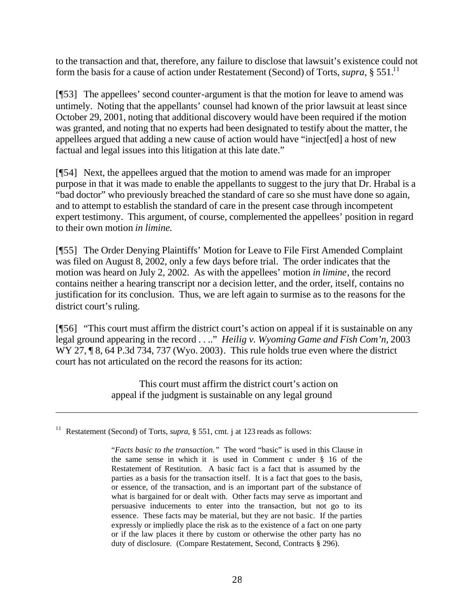to the transaction and that, therefore, any failure to disclose that lawsuit's existence could not form the basis for a cause of action under Restatement (Second) of Torts, *supra*, § 551.<sup>11</sup>

[¶53] The appellees' second counter-argument is that the motion for leave to amend was untimely. Noting that the appellants' counsel had known of the prior lawsuit at least since October 29, 2001, noting that additional discovery would have been required if the motion was granted, and noting that no experts had been designated to testify about the matter, the appellees argued that adding a new cause of action would have "inject[ed] a host of new factual and legal issues into this litigation at this late date."

[¶54] Next, the appellees argued that the motion to amend was made for an improper purpose in that it was made to enable the appellants to suggest to the jury that Dr. Hrabal is a "bad doctor" who previously breached the standard of care so she must have done so again, and to attempt to establish the standard of care in the present case through incompetent expert testimony. This argument, of course, complemented the appellees' position in regard to their own motion *in limine.*

[¶55] The Order Denying Plaintiffs' Motion for Leave to File First Amended Complaint was filed on August 8, 2002, only a few days before trial. The order indicates that the motion was heard on July 2, 2002. As with the appellees' motion *in limine*, the record contains neither a hearing transcript nor a decision letter, and the order, itself, contains no justification for its conclusion. Thus, we are left again to surmise as to the reasons for the district court's ruling.

[¶56] "This court must affirm the district court's action on appeal if it is sustainable on any legal ground appearing in the record . . .." *Heilig v. Wyoming Game and Fish Com'n,* 2003 WY 27, 18, 64 P.3d 734, 737 (Wyo. 2003). This rule holds true even where the district court has not articulated on the record the reasons for its action:

> This court must affirm the district court's action on appeal if the judgment is sustainable on any legal ground

l

Restatement (Second) of Torts, *supra*, § 551, cmt. j at 123 reads as follows:

<sup>&</sup>quot;*Facts basic to the transaction."* The word "basic" is used in this Clause in the same sense in which it is used in Comment c under § 16 of the Restatement of Restitution. A basic fact is a fact that is assumed by the parties as a basis for the transaction itself. It is a fact that goes to the basis, or essence, of the transaction, and is an important part of the substance of what is bargained for or dealt with. Other facts may serve as important and persuasive inducements to enter into the transaction, but not go to its essence. These facts may be material, but they are not basic. If the parties expressly or impliedly place the risk as to the existence of a fact on one party or if the law places it there by custom or otherwise the other party has no duty of disclosure. (Compare Restatement, Second, Contracts § 296).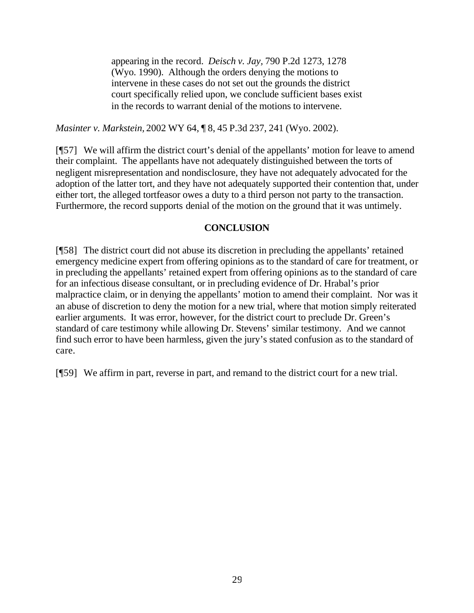appearing in the record. *Deisch v. Jay,* 790 P.2d 1273, 1278 (Wyo. 1990). Although the orders denying the motions to intervene in these cases do not set out the grounds the district court specifically relied upon, we conclude sufficient bases exist in the records to warrant denial of the motions to intervene.

*Masinter v. Markstein,* 2002 WY 64, ¶ 8, 45 P.3d 237, 241 (Wyo. 2002).

[¶57] We will affirm the district court's denial of the appellants' motion for leave to amend their complaint. The appellants have not adequately distinguished between the torts of negligent misrepresentation and nondisclosure, they have not adequately advocated for the adoption of the latter tort, and they have not adequately supported their contention that, under either tort, the alleged tortfeasor owes a duty to a third person not party to the transaction. Furthermore, the record supports denial of the motion on the ground that it was untimely.

# **CONCLUSION**

[¶58] The district court did not abuse its discretion in precluding the appellants' retained emergency medicine expert from offering opinions as to the standard of care for treatment, or in precluding the appellants' retained expert from offering opinions as to the standard of care for an infectious disease consultant, or in precluding evidence of Dr. Hrabal's prior malpractice claim, or in denying the appellants' motion to amend their complaint. Nor was it an abuse of discretion to deny the motion for a new trial, where that motion simply reiterated earlier arguments. It was error, however, for the district court to preclude Dr. Green's standard of care testimony while allowing Dr. Stevens' similar testimony. And we cannot find such error to have been harmless, given the jury's stated confusion as to the standard of care.

[¶59] We affirm in part, reverse in part, and remand to the district court for a new trial.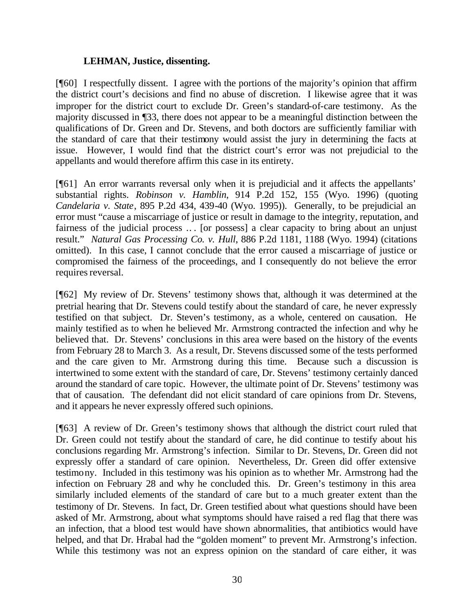### **LEHMAN, Justice, dissenting.**

[¶60] I respectfully dissent. I agree with the portions of the majority's opinion that affirm the district court's decisions and find no abuse of discretion. I likewise agree that it was improper for the district court to exclude Dr. Green's standard-of-care testimony. As the majority discussed in ¶33, there does not appear to be a meaningful distinction between the qualifications of Dr. Green and Dr. Stevens, and both doctors are sufficiently familiar with the standard of care that their testimony would assist the jury in determining the facts at issue. However, I would find that the district court's error was not prejudicial to the appellants and would therefore affirm this case in its entirety.

[¶61] An error warrants reversal only when it is prejudicial and it affects the appellants' substantial rights. *Robinson v. Hamblin*, 914 P.2d 152, 155 (Wyo. 1996) (quoting *Candelaria v. State*, 895 P.2d 434, 439-40 (Wyo. 1995)). Generally, to be prejudicial an error must "cause a miscarriage of justice or result in damage to the integrity, reputation, and fairness of the judicial process .. . [or possess] a clear capacity to bring about an unjust result." *Natural Gas Processing Co. v. Hull*, 886 P.2d 1181, 1188 (Wyo. 1994) (citations omitted). In this case, I cannot conclude that the error caused a miscarriage of justice or compromised the fairness of the proceedings, and I consequently do not believe the error requires reversal.

[¶62] My review of Dr. Stevens' testimony shows that, although it was determined at the pretrial hearing that Dr. Stevens could testify about the standard of care, he never expressly testified on that subject. Dr. Steven's testimony, as a whole, centered on causation. He mainly testified as to when he believed Mr. Armstrong contracted the infection and why he believed that. Dr. Stevens' conclusions in this area were based on the history of the events from February 28 to March 3. As a result, Dr. Stevens discussed some of the tests performed and the care given to Mr. Armstrong during this time. Because such a discussion is intertwined to some extent with the standard of care, Dr. Stevens' testimony certainly danced around the standard of care topic. However, the ultimate point of Dr. Stevens' testimony was that of causation. The defendant did not elicit standard of care opinions from Dr. Stevens, and it appears he never expressly offered such opinions.

[¶63] A review of Dr. Green's testimony shows that although the district court ruled that Dr. Green could not testify about the standard of care, he did continue to testify about his conclusions regarding Mr. Armstrong's infection. Similar to Dr. Stevens, Dr. Green did not expressly offer a standard of care opinion. Nevertheless, Dr. Green did offer extensive testimony. Included in this testimony was his opinion as to whether Mr. Armstrong had the infection on February 28 and why he concluded this. Dr. Green's testimony in this area similarly included elements of the standard of care but to a much greater extent than the testimony of Dr. Stevens. In fact, Dr. Green testified about what questions should have been asked of Mr. Armstrong, about what symptoms should have raised a red flag that there was an infection, that a blood test would have shown abnormalities, that antibiotics would have helped, and that Dr. Hrabal had the "golden moment" to prevent Mr. Armstrong's infection. While this testimony was not an express opinion on the standard of care either, it was